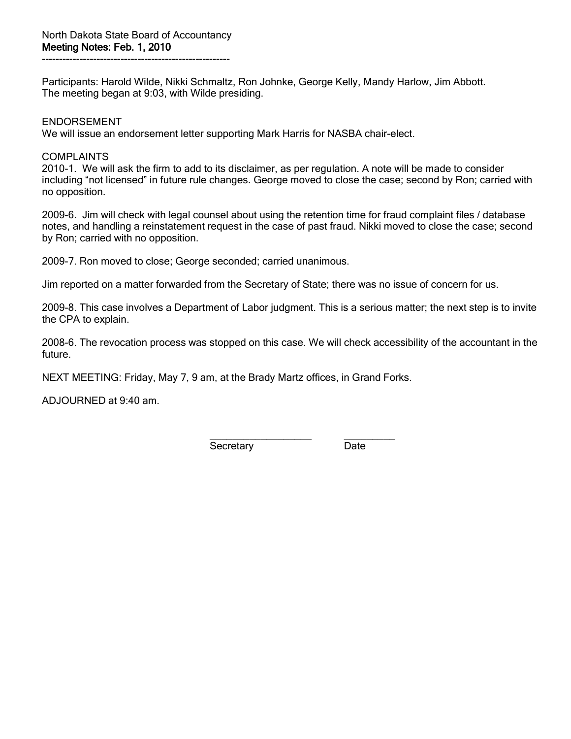Participants: Harold Wilde, Nikki Schmaltz, Ron Johnke, George Kelly, Mandy Harlow, Jim Abbott. The meeting began at 9:03, with Wilde presiding.

### ENDORSEMENT

We will issue an endorsement letter supporting Mark Harris for NASBA chair-elect.

## **COMPLAINTS**

2010-1. We will ask the firm to add to its disclaimer, as per regulation. A note will be made to consider including "not licensed" in future rule changes. George moved to close the case; second by Ron; carried with no opposition.

2009-6. Jim will check with legal counsel about using the retention time for fraud complaint files / database notes, and handling a reinstatement request in the case of past fraud. Nikki moved to close the case; second by Ron; carried with no opposition.

2009-7. Ron moved to close; George seconded; carried unanimous.

Jim reported on a matter forwarded from the Secretary of State; there was no issue of concern for us.

2009-8. This case involves a Department of Labor judgment. This is a serious matter; the next step is to invite the CPA to explain.

2008-6. The revocation process was stopped on this case. We will check accessibility of the accountant in the future.

NEXT MEETING: Friday, May 7, 9 am, at the Brady Martz offices, in Grand Forks.

ADJOURNED at 9:40 am.

\_\_\_\_\_\_\_\_\_\_\_\_\_\_\_\_\_\_ \_\_\_\_\_\_\_\_\_ Secretary Date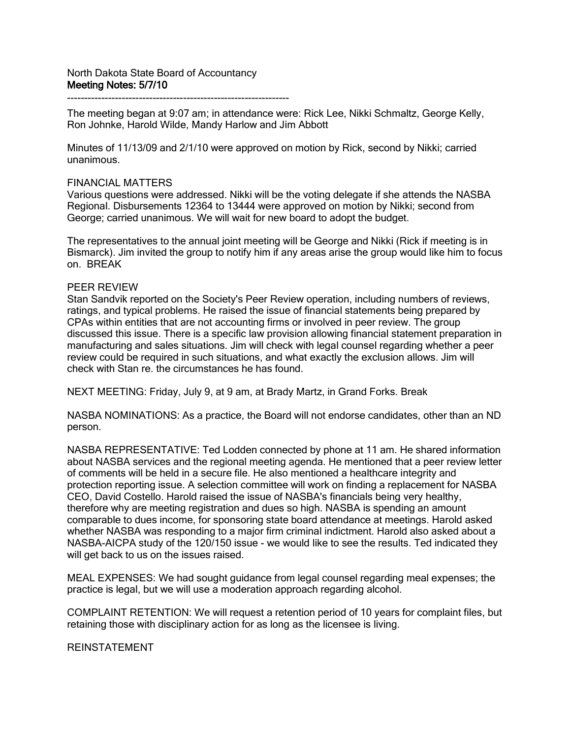-----------------------------------------------------------------

The meeting began at 9:07 am; in attendance were: Rick Lee, Nikki Schmaltz, George Kelly, Ron Johnke, Harold Wilde, Mandy Harlow and Jim Abbott

Minutes of 11/13/09 and 2/1/10 were approved on motion by Rick, second by Nikki; carried unanimous.

#### FINANCIAL MATTERS

Various questions were addressed. Nikki will be the voting delegate if she attends the NASBA Regional. Disbursements 12364 to 13444 were approved on motion by Nikki; second from George; carried unanimous. We will wait for new board to adopt the budget.

The representatives to the annual joint meeting will be George and Nikki (Rick if meeting is in Bismarck). Jim invited the group to notify him if any areas arise the group would like him to focus on. BREAK

#### PEER REVIEW

Stan Sandvik reported on the Society's Peer Review operation, including numbers of reviews, ratings, and typical problems. He raised the issue of financial statements being prepared by CPAs within entities that are not accounting firms or involved in peer review. The group discussed this issue. There is a specific law provision allowing financial statement preparation in manufacturing and sales situations. Jim will check with legal counsel regarding whether a peer review could be required in such situations, and what exactly the exclusion allows. Jim will check with Stan re. the circumstances he has found.

NEXT MEETING: Friday, July 9, at 9 am, at Brady Martz, in Grand Forks. Break

NASBA NOMINATIONS: As a practice, the Board will not endorse candidates, other than an ND person.

NASBA REPRESENTATIVE: Ted Lodden connected by phone at 11 am. He shared information about NASBA services and the regional meeting agenda. He mentioned that a peer review letter of comments will be held in a secure file. He also mentioned a healthcare integrity and protection reporting issue. A selection committee will work on finding a replacement for NASBA CEO, David Costello. Harold raised the issue of NASBA's financials being very healthy, therefore why are meeting registration and dues so high. NASBA is spending an amount comparable to dues income, for sponsoring state board attendance at meetings. Harold asked whether NASBA was responding to a major firm criminal indictment. Harold also asked about a NASBA-AICPA study of the 120/150 issue - we would like to see the results. Ted indicated they will get back to us on the issues raised.

MEAL EXPENSES: We had sought guidance from legal counsel regarding meal expenses; the practice is legal, but we will use a moderation approach regarding alcohol.

COMPLAINT RETENTION: We will request a retention period of 10 years for complaint files, but retaining those with disciplinary action for as long as the licensee is living.

REINSTATEMENT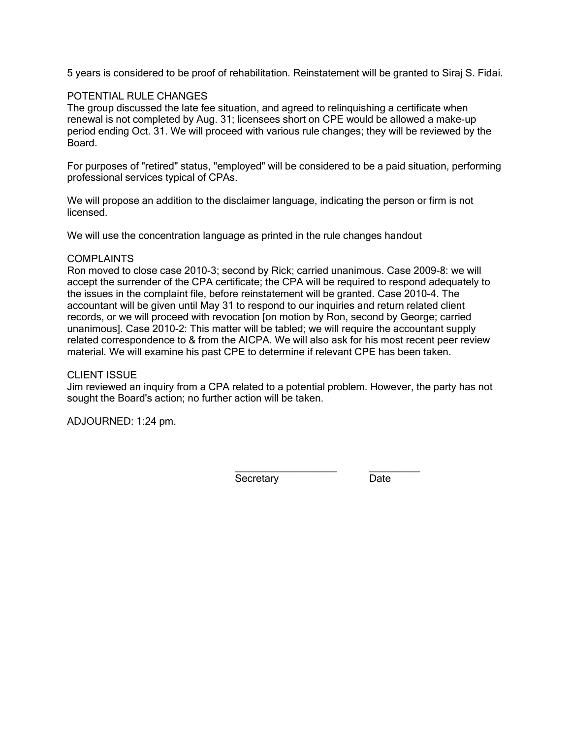5 years is considered to be proof of rehabilitation. Reinstatement will be granted to Siraj S. Fidai.

### POTENTIAL RULE CHANGES

The group discussed the late fee situation, and agreed to relinquishing a certificate when renewal is not completed by Aug. 31; licensees short on CPE would be allowed a make-up period ending Oct. 31. We will proceed with various rule changes; they will be reviewed by the Board.

For purposes of "retired" status, "employed" will be considered to be a paid situation, performing professional services typical of CPAs.

We will propose an addition to the disclaimer language, indicating the person or firm is not licensed.

We will use the concentration language as printed in the rule changes handout

### COMPLAINTS

Ron moved to close case 2010-3; second by Rick; carried unanimous. Case 2009-8: we will accept the surrender of the CPA certificate; the CPA will be required to respond adequately to the issues in the complaint file, before reinstatement will be granted. Case 2010-4. The accountant will be given until May 31 to respond to our inquiries and return related client records, or we will proceed with revocation [on motion by Ron, second by George; carried unanimous]. Case 2010-2: This matter will be tabled; we will require the accountant supply related correspondence to & from the AICPA. We will also ask for his most recent peer review material. We will examine his past CPE to determine if relevant CPE has been taken.

### CLIENT ISSUE

Jim reviewed an inquiry from a CPA related to a potential problem. However, the party has not sought the Board's action; no further action will be taken.

ADJOURNED: 1:24 pm.

\_\_\_\_\_\_\_\_\_\_\_\_\_\_\_\_\_\_ \_\_\_\_\_\_\_\_\_ Secretary Date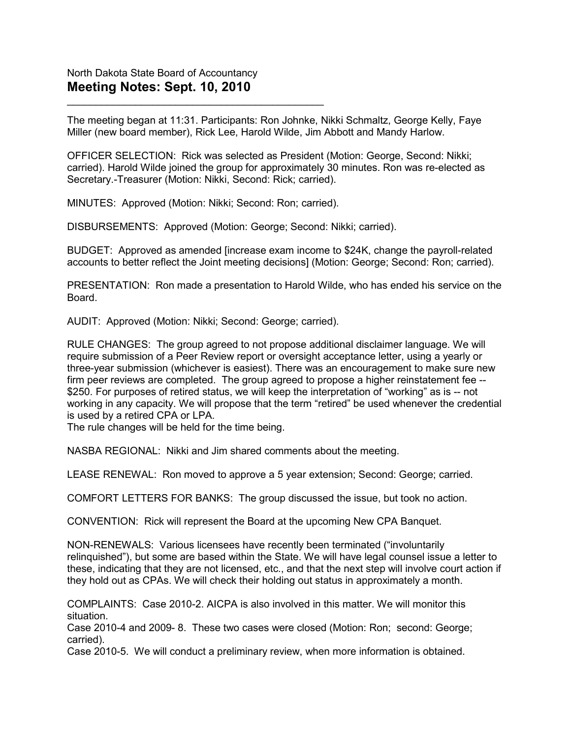The meeting began at 11:31. Participants: Ron Johnke, Nikki Schmaltz, George Kelly, Faye Miller (new board member), Rick Lee, Harold Wilde, Jim Abbott and Mandy Harlow.

OFFICER SELECTION: Rick was selected as President (Motion: George, Second: Nikki; carried). Harold Wilde joined the group for approximately 30 minutes. Ron was re-elected as Secretary.-Treasurer (Motion: Nikki, Second: Rick; carried).

MINUTES: Approved (Motion: Nikki; Second: Ron; carried).

\_\_\_\_\_\_\_\_\_\_\_\_\_\_\_\_\_\_\_\_\_\_\_\_\_\_\_\_\_\_\_\_\_\_\_\_\_\_\_\_\_\_\_\_\_

DISBURSEMENTS: Approved (Motion: George; Second: Nikki; carried).

BUDGET: Approved as amended [increase exam income to \$24K, change the payroll-related accounts to better reflect the Joint meeting decisions] (Motion: George; Second: Ron; carried).

PRESENTATION: Ron made a presentation to Harold Wilde, who has ended his service on the Board.

AUDIT: Approved (Motion: Nikki; Second: George; carried).

RULE CHANGES: The group agreed to not propose additional disclaimer language. We will require submission of a Peer Review report or oversight acceptance letter, using a yearly or three-year submission (whichever is easiest). There was an encouragement to make sure new firm peer reviews are completed. The group agreed to propose a higher reinstatement fee -- \$250. For purposes of retired status, we will keep the interpretation of "working" as is -- not working in any capacity. We will propose that the term "retired" be used whenever the credential is used by a retired CPA or LPA.

The rule changes will be held for the time being.

NASBA REGIONAL: Nikki and Jim shared comments about the meeting.

LEASE RENEWAL: Ron moved to approve a 5 year extension; Second: George; carried.

COMFORT LETTERS FOR BANKS: The group discussed the issue, but took no action.

CONVENTION: Rick will represent the Board at the upcoming New CPA Banquet.

NON-RENEWALS: Various licensees have recently been terminated ("involuntarily relinquished"), but some are based within the State. We will have legal counsel issue a letter to these, indicating that they are not licensed, etc., and that the next step will involve court action if they hold out as CPAs. We will check their holding out status in approximately a month.

COMPLAINTS: Case 2010-2. AICPA is also involved in this matter. We will monitor this situation.

Case 2010-4 and 2009- 8. These two cases were closed (Motion: Ron; second: George; carried).

Case 2010-5. We will conduct a preliminary review, when more information is obtained.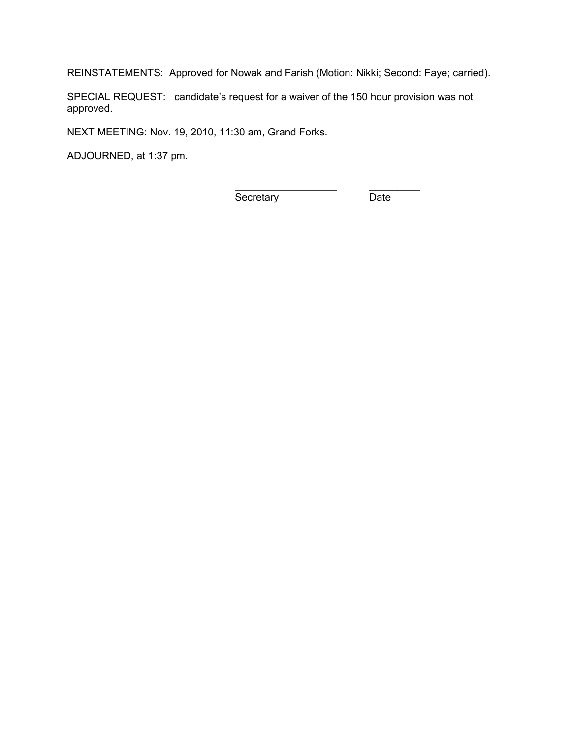REINSTATEMENTS: Approved for Nowak and Farish (Motion: Nikki; Second: Faye; carried).

SPECIAL REQUEST: candidate's request for a waiver of the 150 hour provision was not approved.

NEXT MEETING: Nov. 19, 2010, 11:30 am, Grand Forks.

ADJOURNED, at 1:37 pm.

Secretary Date

\_\_\_\_\_\_\_\_\_\_\_\_\_\_\_\_\_\_ \_\_\_\_\_\_\_\_\_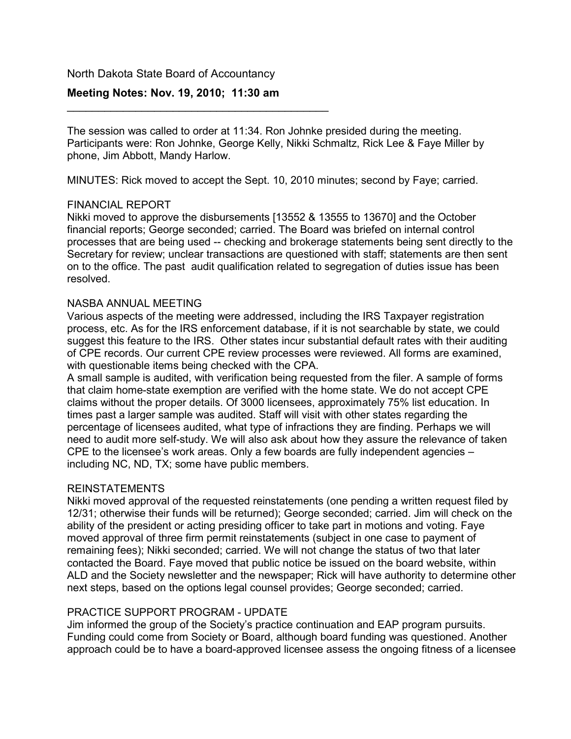## North Dakota State Board of Accountancy

# **Meeting Notes: Nov. 19, 2010; 11:30 am**

\_\_\_\_\_\_\_\_\_\_\_\_\_\_\_\_\_\_\_\_\_\_\_\_\_\_\_\_\_\_\_\_\_\_\_\_\_\_\_\_\_\_

The session was called to order at 11:34. Ron Johnke presided during the meeting. Participants were: Ron Johnke, George Kelly, Nikki Schmaltz, Rick Lee & Faye Miller by phone, Jim Abbott, Mandy Harlow.

MINUTES: Rick moved to accept the Sept. 10, 2010 minutes; second by Faye; carried.

## FINANCIAL REPORT

Nikki moved to approve the disbursements [13552 & 13555 to 13670] and the October financial reports; George seconded; carried. The Board was briefed on internal control processes that are being used -- checking and brokerage statements being sent directly to the Secretary for review; unclear transactions are questioned with staff; statements are then sent on to the office. The past audit qualification related to segregation of duties issue has been resolved.

## NASBA ANNUAL MEETING

Various aspects of the meeting were addressed, including the IRS Taxpayer registration process, etc. As for the IRS enforcement database, if it is not searchable by state, we could suggest this feature to the IRS. Other states incur substantial default rates with their auditing of CPE records. Our current CPE review processes were reviewed. All forms are examined, with questionable items being checked with the CPA.

A small sample is audited, with verification being requested from the filer. A sample of forms that claim home-state exemption are verified with the home state. We do not accept CPE claims without the proper details. Of 3000 licensees, approximately 75% list education. In times past a larger sample was audited. Staff will visit with other states regarding the percentage of licensees audited, what type of infractions they are finding. Perhaps we will need to audit more self-study. We will also ask about how they assure the relevance of taken CPE to the licensee's work areas. Only a few boards are fully independent agencies – including NC, ND, TX; some have public members.

## REINSTATEMENTS

Nikki moved approval of the requested reinstatements (one pending a written request filed by 12/31; otherwise their funds will be returned); George seconded; carried. Jim will check on the ability of the president or acting presiding officer to take part in motions and voting. Faye moved approval of three firm permit reinstatements (subject in one case to payment of remaining fees); Nikki seconded; carried. We will not change the status of two that later contacted the Board. Faye moved that public notice be issued on the board website, within ALD and the Society newsletter and the newspaper; Rick will have authority to determine other next steps, based on the options legal counsel provides; George seconded; carried.

# PRACTICE SUPPORT PROGRAM - UPDATE

Jim informed the group of the Society's practice continuation and EAP program pursuits. Funding could come from Society or Board, although board funding was questioned. Another approach could be to have a board-approved licensee assess the ongoing fitness of a licensee